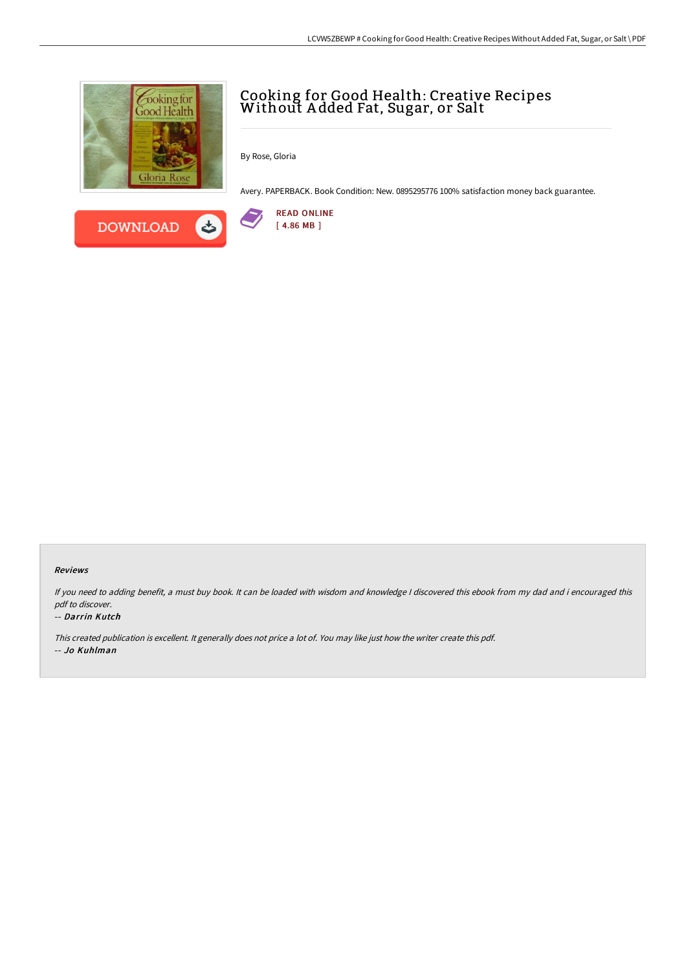

**DOWNLOAD** 

# Cooking for Good Health: Creative Recipes Without A dded Fat, Sugar, or Salt

By Rose, Gloria

Avery. PAPERBACK. Book Condition: New. 0895295776 100% satisfaction money back guarantee.



### Reviews

If you need to adding benefit, <sup>a</sup> must buy book. It can be loaded with wisdom and knowledge <sup>I</sup> discovered this ebook from my dad and i encouraged this pdf to discover.

### -- Darrin Kutch

This created publication is excellent. It generally does not price <sup>a</sup> lot of. You may like just how the writer create this pdf. -- Jo Kuhlman